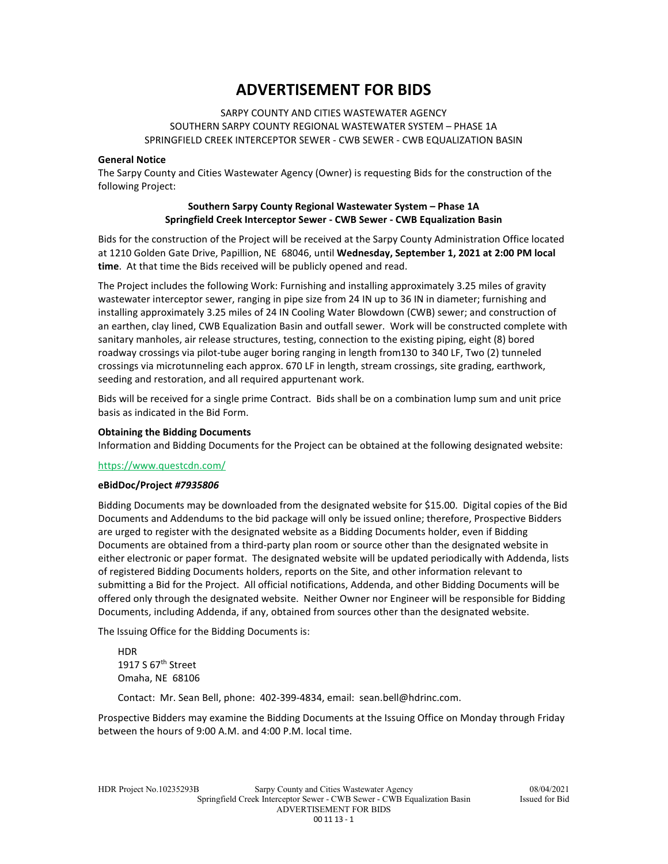# **ADVERTISEMENT FOR BIDS**

## SARPY COUNTY AND CITIES WASTEWATER AGENCY SOUTHERN SARPY COUNTY REGIONAL WASTEWATER SYSTEM – PHASE 1A SPRINGFIELD CREEK INTERCEPTOR SEWER - CWB SEWER - CWB EQUALIZATION BASIN

#### **General Notice**

The Sarpy County and Cities Wastewater Agency (Owner) is requesting Bids for the construction of the following Project:

## **Southern Sarpy County Regional Wastewater System – Phase 1A Springfield Creek Interceptor Sewer - CWB Sewer - CWB Equalization Basin**

Bids for the construction of the Project will be received at the Sarpy County Administration Office located at 1210 Golden Gate Drive, Papillion, NE 68046, until **Wednesday, September 1, 2021 at 2:00 PM local time**. At that time the Bids received will be publicly opened and read.

The Project includes the following Work: Furnishing and installing approximately 3.25 miles of gravity wastewater interceptor sewer, ranging in pipe size from 24 IN up to 36 IN in diameter; furnishing and installing approximately 3.25 miles of 24 IN Cooling Water Blowdown (CWB) sewer; and construction of an earthen, clay lined, CWB Equalization Basin and outfall sewer. Work will be constructed complete with sanitary manholes, air release structures, testing, connection to the existing piping, eight (8) bored roadway crossings via pilot-tube auger boring ranging in length from130 to 340 LF, Two (2) tunneled crossings via microtunneling each approx. 670 LF in length, stream crossings, site grading, earthwork, seeding and restoration, and all required appurtenant work.

Bids will be received for a single prime Contract. Bids shall be on a combination lump sum and unit price basis as indicated in the Bid Form.

#### **Obtaining the Bidding Documents**

Information and Bidding Documents for the Project can be obtained at the following designated website:

#### https://www.questcdn.com/

## **eBidDoc/Project** *#7935806*

Bidding Documents may be downloaded from the designated website for \$15.00. Digital copies of the Bid Documents and Addendums to the bid package will only be issued online; therefore, Prospective Bidders are urged to register with the designated website as a Bidding Documents holder, even if Bidding Documents are obtained from a third-party plan room or source other than the designated website in either electronic or paper format. The designated website will be updated periodically with Addenda, lists of registered Bidding Documents holders, reports on the Site, and other information relevant to submitting a Bid for the Project. All official notifications, Addenda, and other Bidding Documents will be offered only through the designated website. Neither Owner nor Engineer will be responsible for Bidding Documents, including Addenda, if any, obtained from sources other than the designated website.

The Issuing Office for the Bidding Documents is:

HDR 1917 S  $67<sup>th</sup>$  Street Omaha, NE 68106

Contact: Mr. Sean Bell, phone: 402-399-4834, email: sean.bell@hdrinc.com.

Prospective Bidders may examine the Bidding Documents at the Issuing Office on Monday through Friday between the hours of 9:00 A.M. and 4:00 P.M. local time.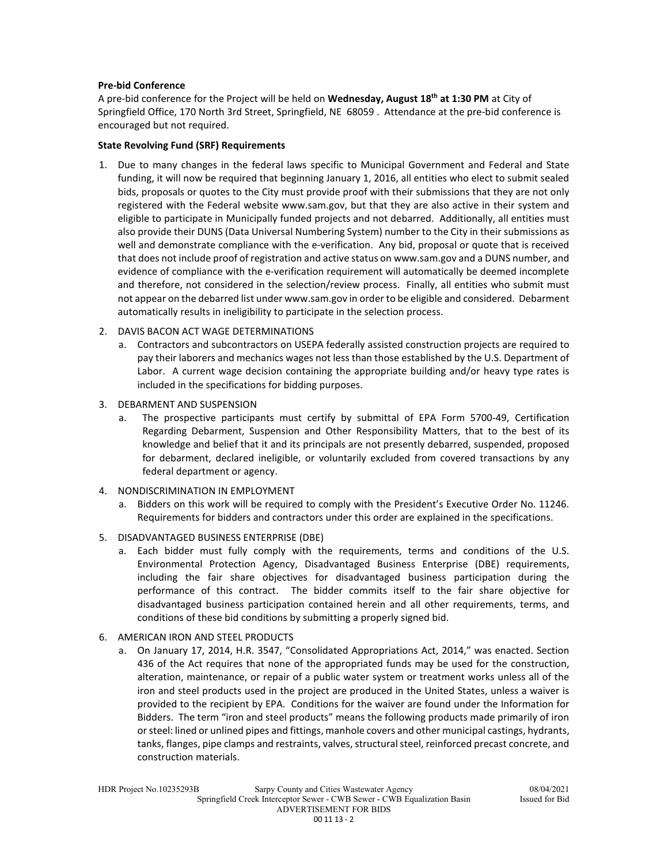## **Pre-bid Conference**

A pre-bid conference for the Project will be held on **Wednesday, August 18th at 1:30 PM** at City of Springfield Office, 170 North 3rd Street, Springfield, NE 68059 . Attendance at the pre-bid conference is encouraged but not required.

## **State Revolving Fund (SRF) Requirements**

- 1. Due to many changes in the federal laws specific to Municipal Government and Federal and State funding, it will now be required that beginning January 1, 2016, all entities who elect to submit sealed bids, proposals or quotes to the City must provide proof with their submissions that they are not only registered with the Federal website www.sam.gov, but that they are also active in their system and eligible to participate in Municipally funded projects and not debarred. Additionally, all entities must also provide their DUNS (Data Universal Numbering System) number to the City in their submissions as well and demonstrate compliance with the e-verification. Any bid, proposal or quote that is received that does not include proof of registration and active status on www.sam.gov and a DUNS number, and evidence of compliance with the e-verification requirement will automatically be deemed incomplete and therefore, not considered in the selection/review process. Finally, all entities who submit must not appear on the debarred list under www.sam.gov in order to be eligible and considered. Debarment automatically results in ineligibility to participate in the selection process.
- 2. DAVIS BACON ACT WAGE DETERMINATIONS
	- a. Contractors and subcontractors on USEPA federally assisted construction projects are required to pay their laborers and mechanics wages not less than those established by the U.S. Department of Labor. A current wage decision containing the appropriate building and/or heavy type rates is included in the specifications for bidding purposes.
- 3. DEBARMENT AND SUSPENSION
	- a. The prospective participants must certify by submittal of EPA Form 5700-49, Certification Regarding Debarment, Suspension and Other Responsibility Matters, that to the best of its knowledge and belief that it and its principals are not presently debarred, suspended, proposed for debarment, declared ineligible, or voluntarily excluded from covered transactions by any federal department or agency.
- 4. NONDISCRIMINATION IN EMPLOYMENT
	- a. Bidders on this work will be required to comply with the President's Executive Order No. 11246. Requirements for bidders and contractors under this order are explained in the specifications.
- 5. DISADVANTAGED BUSINESS ENTERPRISE (DBE)
	- a. Each bidder must fully comply with the requirements, terms and conditions of the U.S. Environmental Protection Agency, Disadvantaged Business Enterprise (DBE) requirements, including the fair share objectives for disadvantaged business participation during the performance of this contract. The bidder commits itself to the fair share objective for disadvantaged business participation contained herein and all other requirements, terms, and conditions of these bid conditions by submitting a properly signed bid.
- 6. AMERICAN IRON AND STEEL PRODUCTS
	- a. On January 17, 2014, H.R. 3547, "Consolidated Appropriations Act, 2014," was enacted. Section 436 of the Act requires that none of the appropriated funds may be used for the construction, alteration, maintenance, or repair of a public water system or treatment works unless all of the iron and steel products used in the project are produced in the United States, unless a waiver is provided to the recipient by EPA. Conditions for the waiver are found under the Information for Bidders. The term "iron and steel products" means the following products made primarily of iron or steel: lined or unlined pipes and fittings, manhole covers and other municipal castings, hydrants, tanks, flanges, pipe clamps and restraints, valves, structural steel, reinforced precast concrete, and construction materials.